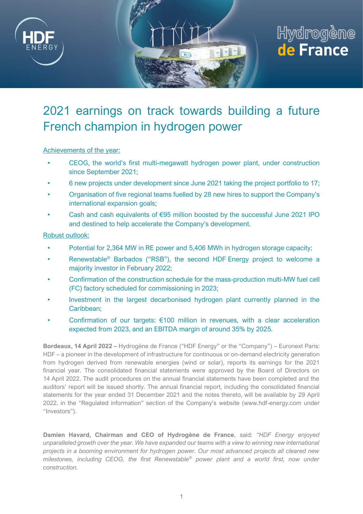

# 2021 earnings on track towards building a future French champion in hydrogen power

#### Achievements of the year:

- CEOG, the world's first multi-megawatt hydrogen power plant, under construction since September 2021;
- 6 new projects under development since June 2021 taking the project portfolio to 17;
- Organisation of five regional teams fuelled by 28 new hires to support the Company's international expansion goals;
- Cash and cash equivalents of  $E95$  million boosted by the successful June 2021 IPO and destined to help accelerate the Company's development.

#### Robust outlook:

- Potential for 2,364 MW in RE power and 5,406 MWh in hydrogen storage capacity;
- Renewstable<sup>®</sup> Barbados ("RSB"), the second HDF Energy project to welcome a majority investor in February 2022;
- Confirmation of the construction schedule for the mass-production multi-MW fuel cell (FC) factory scheduled for commissioning in 2023;
- Investment in the largest decarbonised hydrogen plant currently planned in the Caribbean;
- Confirmation of our targets:  $€100$  million in revenues, with a clear acceleration expected from 2023, and an EBITDA margin of around 35% by 2025.

**Bordeaux, 14 April 2022 –** Hydrogène de France ("HDF Energy" or the "Company") – Euronext Paris: HDF – a pioneer in the development of infrastructure for continuous or on-demand electricity generation from hydrogen derived from renewable energies (wind or solar), reports its earnings for the 2021 financial year. The consolidated financial statements were approved by the Board of Directors on 14 April 2022. The audit procedures on the annual financial statements have been completed and the auditors' report will be issued shortly. The annual financial report, including the consolidated financial statements for the year ended 31 December 2021 and the notes thereto, will be available by 29 April 2022, in the "Regulated information" section of the Company's website (www.hdf-energy.com under "Investors").

**Damien Havard, Chairman and CEO of Hydrogène de France**, said: *"HDF Energy enjoyed unparalleled growth over the year. We have expanded our teams with a view to winning new international projects in a booming environment for hydrogen power. Our most advanced projects all cleared new milestones, including CEOG, the first Renewstable® power plant and a world first, now under construction.*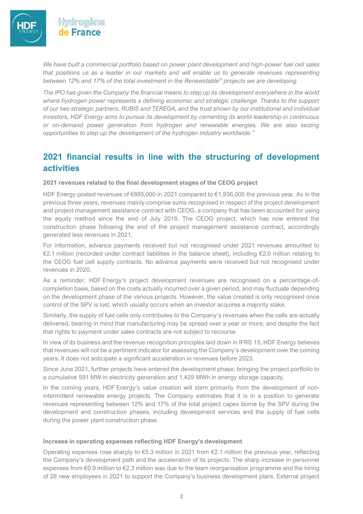

Hvdrogène de France

*We have built a commercial portfolio based on power plant development and high-power fuel cell sales that positions us as a leader in our markets and will enable us to generate revenues representing between 12% and 17% of the total investment in the Renewstable® projects we are developing.*

*The IPO has given the Company the financial means to step up its development everywhere in the world where hydrogen power represents a defining economic and strategic challenge. Thanks to the support of our two strategic partners, RUBIS and TERÉGA, and the trust shown by our institutional and individual investors, HDF Energy aims to pursue its development by cementing its world leadership in continuous or on-demand power generation from hydrogen and renewable energies. We are also seizing opportunities to step up the development of the hydrogen industry worldwide."*

### **2021 financial results in line with the structuring of development activities**

#### **2021 revenues related to the final development stages of the CEOG project**

HDF Energy posted revenues of €885,000 in 2021 compared to €1,936,000 the previous year. As in the previous three years, revenues mainly comprise sums recognised in respect of the project development and project management assistance contract with CEOG, a company that has been accounted for using the equity method since the end of July 2018. The CEOG project, which has now entered the construction phase following the end of the project management assistance contract, accordingly generated less revenues in 2021.

For information, advance payments received but not recognised under 2021 revenues amounted to €2.1 million (recorded under contract liabilities in the balance sheet), including €2.0 million relating to the CEOG fuel cell supply contracts. No advance payments were received but not recognised under revenues in 2020.

As a reminder, HDF Energy's project development revenues are recognised on a percentage-ofcompletion basis, based on the costs actually incurred over a given period, and may fluctuate depending on the development phase of the various projects. However, the value created is only recognised once control of the SPV is lost, which usually occurs when an investor acquires a majority stake.

Similarly, the supply of fuel cells only contributes to the Company's revenues when the cells are actually delivered, bearing in mind that manufacturing may be spread over a year or more, and despite the fact that rights to payment under sales contracts are not subject to recourse.

In view of its business and the revenue recognition principles laid down in IFRS 15, HDF Energy believes that revenues will not be a pertinent indicator for assessing the Company's development over the coming years. It does not anticipate a significant acceleration in revenues before 2023.

Since June 2021, further projects have entered the development phase, bringing the project portfolio to a cumulative 591 MW in electricity generation and 1,429 MWh in energy storage capacity.

In the coming years, HDF Energy's value creation will stem primarily from the development of nonintermittent renewable energy projects. The Company estimates that it is in a position to generate revenues representing between 12% and 17% of the total project capex borne by the SPV during the development and construction phases, including development services and the supply of fuel cells during the power plant construction phase.

#### **Increase in operating expenses reflecting HDF Energy's development**

Operating expenses rose sharply to  $\epsilon$ 5.3 million in 2021 from  $\epsilon$ 2.1 million the previous year, reflecting the Company's development path and the acceleration of its projects. The sharp increase in personnel expenses from €0.9 million to €2.3 million was due to the team reorganisation programme and the hiring of 28 new employees in 2021 to support the Company's business development plans. External project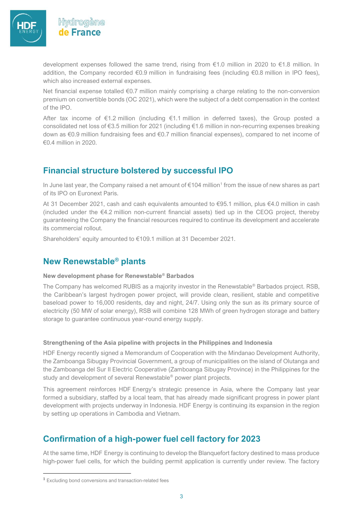

Hydrogène de France

development expenses followed the same trend, rising from €1.0 million in 2020 to €1.8 million. In addition, the Company recorded €0.9 million in fundraising fees (including €0.8 million in IPO fees), which also increased external expenses.

Net financial expense totalled €0.7 million mainly comprising a charge relating to the non-conversion premium on convertible bonds (OC 2021), which were the subject of a debt compensation in the context of the IPO.

After tax income of €1.2 million (including €1.1 million in deferred taxes), the Group posted a consolidated net loss of €3.5 million for 2021 (including €1.6 million in non-recurring expenses breaking down as €0.9 million fundraising fees and €0.7 million financial expenses), compared to net income of €0.4 million in 2020.

### **Financial structure bolstered by successful IPO**

In June last year, the Company raised a net amount of  $\epsilon$ 104 million<sup>1</sup> from the issue of new shares as part of its IPO on Euronext Paris.

At 31 December 2021, cash and cash equivalents amounted to €95.1 million, plus €4.0 million in cash (included under the €4.2 million non-current financial assets) tied up in the CEOG project, thereby guaranteeing the Company the financial resources required to continue its development and accelerate its commercial rollout.

Shareholders' equity amounted to €109.1 million at 31 December 2021.

### **New Renewstable® plants**

#### **New development phase for Renewstable® Barbados**

The Company has welcomed RUBIS as a majority investor in the Renewstable® Barbados project. RSB, the Caribbean's largest hydrogen power project, will provide clean, resilient, stable and competitive baseload power to 16,000 residents, day and night, 24/7. Using only the sun as its primary source of electricity (50 MW of solar energy), RSB will combine 128 MWh of green hydrogen storage and battery storage to guarantee continuous year-round energy supply.

#### **Strengthening of the Asia pipeline with projects in the Philippines and Indonesia**

HDF Energy recently signed a Memorandum of Cooperation with the Mindanao Development Authority, the Zamboanga Sibugay Provincial Government, a group of municipalities on the island of Olutanga and the Zamboanga del Sur II Electric Cooperative (Zamboanga Sibugay Province) in the Philippines for the study and development of several Renewstable® power plant projects.

This agreement reinforces HDF Energy's strategic presence in Asia, where the Company last year formed a subsidiary, staffed by a local team, that has already made significant progress in power plant development with projects underway in Indonesia. HDF Energy is continuing its expansion in the region by setting up operations in Cambodia and Vietnam.

### **Confirmation of a high-power fuel cell factory for 2023**

At the same time, HDF Energy is continuing to develop the Blanquefort factory destined to mass produce high-power fuel cells, for which the building permit application is currently under review. The factory

<sup>1</sup> Excluding bond conversions and transaction-related fees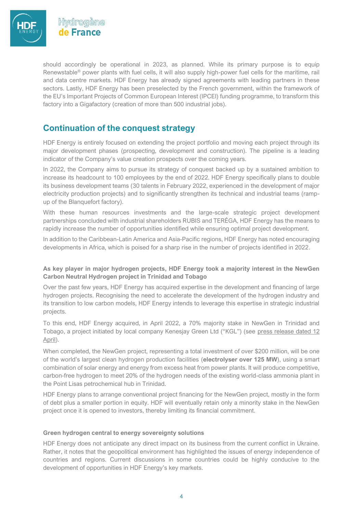

should accordingly be operational in 2023, as planned. While its primary purpose is to equip Renewstable® power plants with fuel cells, it will also supply high-power fuel cells for the maritime, rail and data centre markets. HDF Energy has already signed agreements with leading partners in these sectors. Lastly, HDF Energy has been preselected by the French government, within the framework of the EU's Important Projects of Common European Interest (IPCEI) funding programme, to transform this factory into a Gigafactory (creation of more than 500 industrial jobs).

### **Continuation of the conquest strategy**

HDF Energy is entirely focused on extending the project portfolio and moving each project through its major development phases (prospecting, development and construction). The pipeline is a leading indicator of the Company's value creation prospects over the coming years.

In 2022, the Company aims to pursue its strategy of conquest backed up by a sustained ambition to increase its headcount to 100 employees by the end of 2022. HDF Energy specifically plans to double its business development teams (30 talents in February 2022, experienced in the development of major electricity production projects) and to significantly strengthen its technical and industrial teams (rampup of the Blanquefort factory).

With these human resources investments and the large-scale strategic project development partnerships concluded with industrial shareholders RUBIS and TERÉGA, HDF Energy has the means to rapidly increase the number of opportunities identified while ensuring optimal project development.

In addition to the Caribbean-Latin America and Asia-Pacific regions, HDF Energy has noted encouraging developments in Africa, which is poised for a sharp rise in the number of projects identified in 2022.

#### **As key player in major hydrogen projects, HDF Energy took a majority interest in the NewGen Carbon Neutral Hydrogen project in Trinidad and Tobago**

Over the past few years, HDF Energy has acquired expertise in the development and financing of large hydrogen projects. Recognising the need to accelerate the development of the hydrogen industry and its transition to low carbon models, HDF Energy intends to leverage this expertise in strategic industrial projects.

To this end, HDF Energy acquired, in April 2022, a 70% majority stake in NewGen in Trinidad and Tobago, a project initiated by local company Kenesjay Green Ltd ("KGL") (see press release dated 12 [April\)](https://www.hdf-energy.com/en/investors/financial-press-release/?ID=ACTUS-0-73951&CLIENT=ACTUS-0-447).

When completed, the NewGen project, representing a total investment of over \$200 million, will be one of the world's largest clean hydrogen production facilities (**electrolyser over 125 MW**), using a smart combination of solar energy and energy from excess heat from power plants. It will produce competitive, carbon-free hydrogen to meet 20% of the hydrogen needs of the existing world-class ammonia plant in the Point Lisas petrochemical hub in Trinidad.

HDF Energy plans to arrange conventional project financing for the NewGen project, mostly in the form of debt plus a smaller portion in equity. HDF will eventually retain only a minority stake in the NewGen project once it is opened to investors, thereby limiting its financial commitment.

#### **Green hydrogen central to energy sovereignty solutions**

HDF Energy does not anticipate any direct impact on its business from the current conflict in Ukraine. Rather, it notes that the geopolitical environment has highlighted the issues of energy independence of countries and regions. Current discussions in some countries could be highly conducive to the development of opportunities in HDF Energy's key markets.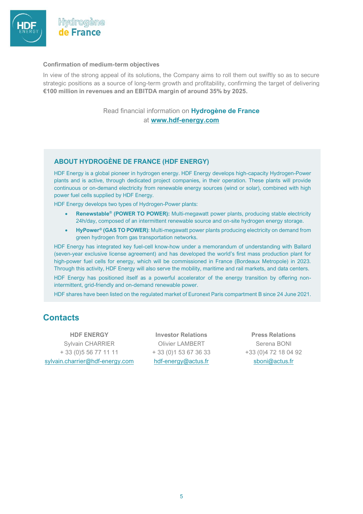

#### **Confirmation of medium-term objectives**

In view of the strong appeal of its solutions, the Company aims to roll them out swiftly so as to secure strategic positions as a source of long-term growth and profitability, confirming the target of delivering **€100 million in revenues and an EBITDA margin of around 35% by 2025.** 

#### Read financial information on **Hydrogène de France** at **[www.hdf-energy.com](https://www.hdf-energy.com/)**

#### **ABOUT HYDROGÈNE DE FRANCE (HDF ENERGY)**

HDF Energy is a global pioneer in hydrogen energy. HDF Energy develops high-capacity Hydrogen-Power plants and is active, through dedicated project companies, in their operation. These plants will provide continuous or on-demand electricity from renewable energy sources (wind or solar), combined with high power fuel cells supplied by HDF Energy.

HDF Energy develops two types of Hydrogen-Power plants:

- **Renewstable® (POWER TO POWER):** Multi-megawatt power plants, producing stable electricity 24h/day, composed of an intermittent renewable source and on-site hydrogen energy storage.
- **HyPower® (GAS TO POWER)**: Multi-megawatt power plants producing electricity on demand from green hydrogen from gas transportation networks.

HDF Energy has integrated key fuel-cell know-how under a memorandum of understanding with Ballard (seven-year exclusive license agreement) and has developed the world's first mass production plant for high-power fuel cells for energy, which will be commissioned in France (Bordeaux Metropole) in 2023. Through this activity, HDF Energy will also serve the mobility, maritime and rail markets, and data centers.

HDF Energy has positioned itself as a powerful accelerator of the energy transition by offering nonintermittent, grid-friendly and on-demand renewable power.

HDF shares have been listed on the regulated market of Euronext Paris compartment B since 24 June 2021.

### **Contacts**

**HDF ENERGY Investor Relations Press Relations** Sylvain CHARRIER + 33 (0)5 56 77 11 11 sylvain.charrier@hdf-energy.com

Olivier LAMBERT + 33 (0)1 53 67 36 33 [hdf-energy@actus.fr](mailto:hdf-energy@actus.fr)

Serena BONI +33 (0)4 72 18 04 92 sboni@actus.fr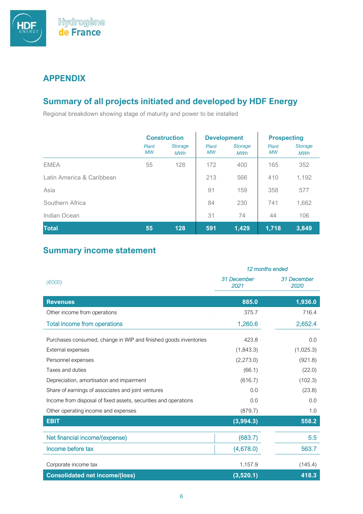

### **APPENDIX**

## **Summary of all projects initiated and developed by HDF Energy**

Regional breakdown showing stage of maturity and power to be installed

|                           | <b>Construction</b> |                              | <b>Development</b> |                              | <b>Prospecting</b> |                              |
|---------------------------|---------------------|------------------------------|--------------------|------------------------------|--------------------|------------------------------|
|                           | Plant<br><b>MW</b>  | <b>Storage</b><br><b>MWh</b> | Plant<br><b>MW</b> | <b>Storage</b><br><b>MWh</b> | Plant<br><b>MW</b> | <b>Storage</b><br><b>MWh</b> |
| <b>EMEA</b>               | 55                  | 128                          | 172                | 400                          | 165                | 352                          |
| Latin America & Caribbean |                     |                              | 213                | 566                          | 410                | 1,192                        |
| Asia                      |                     |                              | 91                 | 159                          | 358                | 577                          |
| Southern Africa           |                     |                              | 84                 | 230                          | 741                | 1,662                        |
| Indian Ocean              |                     |                              | 31                 | 74                           | 44                 | 106                          |
| <b>Total</b>              | 55                  | 128                          | 591                | 1,429                        | 1,718              | 3,849                        |

### **Summary income statement**

|                                                                  | 12 months ended     |                     |  |
|------------------------------------------------------------------|---------------------|---------------------|--|
| $(\epsilon 000)$                                                 | 31 December<br>2021 | 31 December<br>2020 |  |
| <b>Revenues</b>                                                  | 885.0               | 1,936.0             |  |
| Other income from operations                                     | 375.7               | 716.4               |  |
| <b>Total income from operations</b>                              | 1,260.6             | 2,652.4             |  |
| Purchases consumed, change in WIP and finished goods inventories | 423.8               | 0.0                 |  |
| External expenses                                                | (1,843.3)           | (1,025.3)           |  |
| Personnel expenses                                               | (2,273.0)           | (921.8)             |  |
| Taxes and duties                                                 | (66.1)              | (22.0)              |  |
| Depreciation, amortisation and impairment                        | (616.7)             | (102.3)             |  |
| Share of earnings of associates and joint ventures               | 0.0                 | (23.8)              |  |
| Income from disposal of fixed assets, securities and operations  | 0.0                 | 0.0                 |  |
| Other operating income and expenses                              | (879.7)             | 1.0                 |  |
| <b>EBIT</b>                                                      | (3,994.3)           | 558.2               |  |
| Net financial income/(expense)                                   | (683.7)             | 5.5                 |  |
| Income before tax                                                | (4,678.0)           | 563.7               |  |
| Corporate income tax                                             | 1,157.9             | (145.4)             |  |
| <b>Consolidated net income/(loss)</b>                            | (3,520.1)           | 418.3               |  |